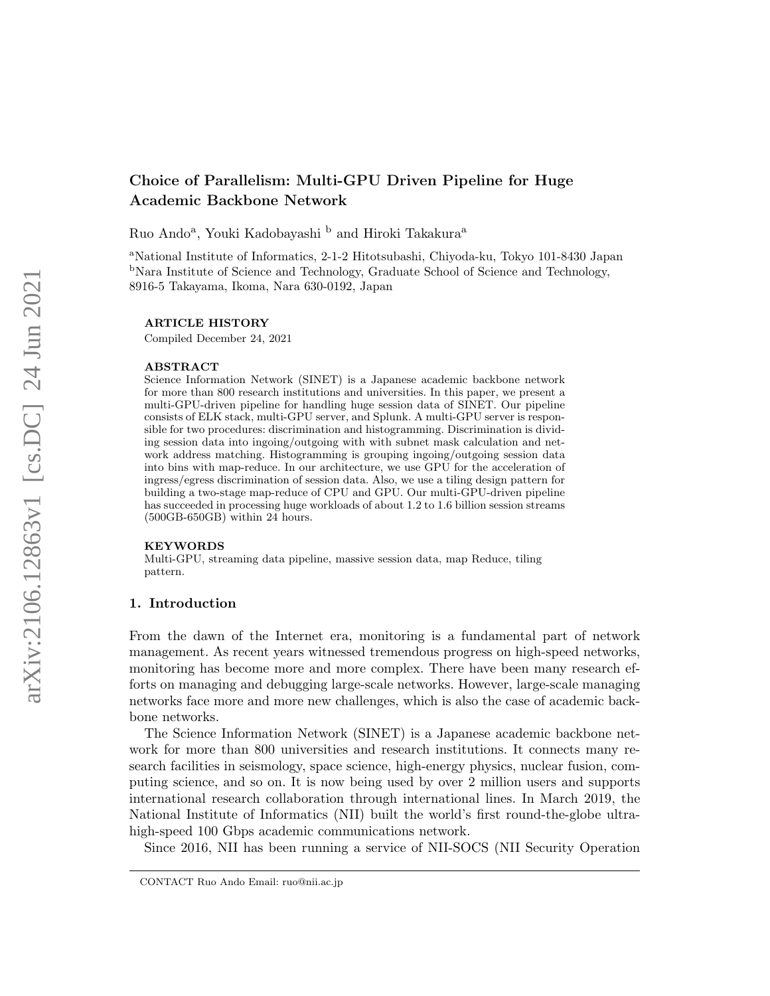# Choice of Parallelism: Multi-GPU Driven Pipeline for Huge Academic Backbone Network

Ruo Ando<sup>a</sup>, Youki Kadobayashi <sup>b</sup> and Hiroki Takakura<sup>a</sup>

<sup>a</sup>National Institute of Informatics, 2-1-2 Hitotsubashi, Chiyoda-ku, Tokyo 101-8430 Japan <sup>b</sup>Nara Institute of Science and Technology, Graduate School of Science and Technology, 8916-5 Takayama, Ikoma, Nara 630-0192, Japan

#### ARTICLE HISTORY

Compiled December 24, 2021

#### ABSTRACT

Science Information Network (SINET) is a Japanese academic backbone network for more than 800 research institutions and universities. In this paper, we present a multi-GPU-driven pipeline for handling huge session data of SINET. Our pipeline consists of ELK stack, multi-GPU server, and Splunk. A multi-GPU server is responsible for two procedures: discrimination and histogramming. Discrimination is dividing session data into ingoing/outgoing with with subnet mask calculation and network address matching. Histogramming is grouping ingoing/outgoing session data into bins with map-reduce. In our architecture, we use GPU for the acceleration of ingress/egress discrimination of session data. Also, we use a tiling design pattern for building a two-stage map-reduce of CPU and GPU. Our multi-GPU-driven pipeline has succeeded in processing huge workloads of about 1.2 to 1.6 billion session streams (500GB-650GB) within 24 hours.

### KEYWORDS

Multi-GPU, streaming data pipeline, massive session data, map Reduce, tiling pattern.

# 1. Introduction

From the dawn of the Internet era, monitoring is a fundamental part of network management. As recent years witnessed tremendous progress on high-speed networks, monitoring has become more and more complex. There have been many research efforts on managing and debugging large-scale networks. However, large-scale managing networks face more and more new challenges, which is also the case of academic backbone networks.

The Science Information Network (SINET) is a Japanese academic backbone network for more than 800 universities and research institutions. It connects many research facilities in seismology, space science, high-energy physics, nuclear fusion, computing science, and so on. It is now being used by over 2 million users and supports international research collaboration through international lines. In March 2019, the National Institute of Informatics (NII) built the world's first round-the-globe ultrahigh-speed 100 Gbps academic communications network.

Since 2016, NII has been running a service of NII-SOCS (NII Security Operation

CONTACT Ruo Ando Email: ruo@nii.ac.jp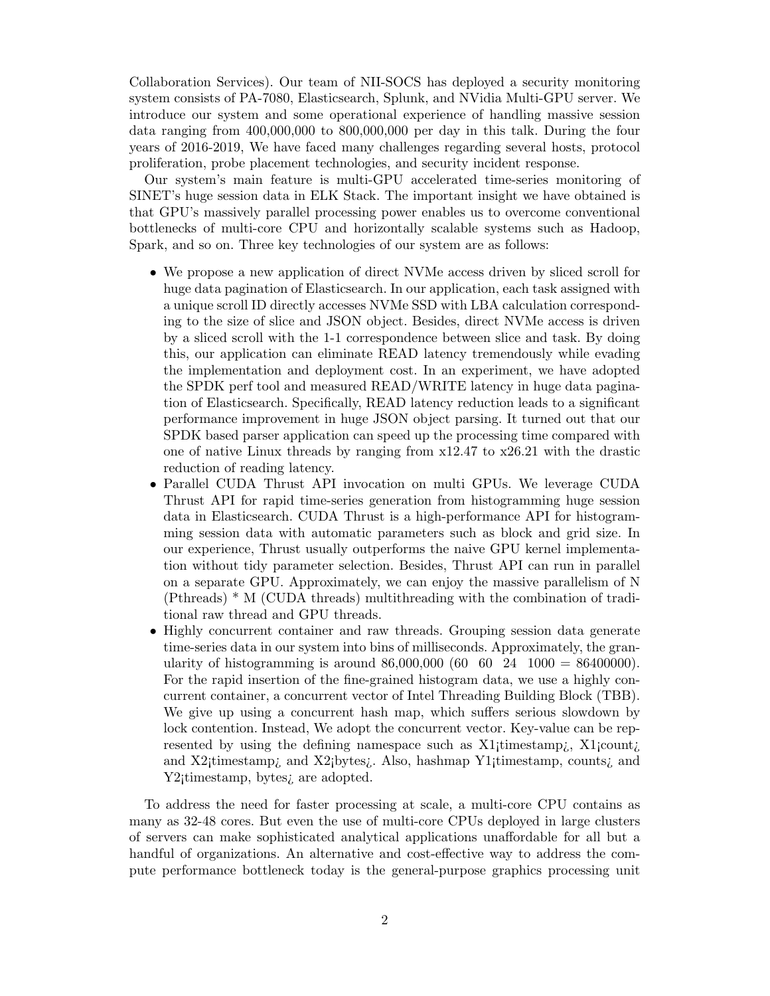Collaboration Services). Our team of NII-SOCS has deployed a security monitoring system consists of PA-7080, Elasticsearch, Splunk, and NVidia Multi-GPU server. We introduce our system and some operational experience of handling massive session data ranging from 400,000,000 to 800,000,000 per day in this talk. During the four years of 2016-2019, We have faced many challenges regarding several hosts, protocol proliferation, probe placement technologies, and security incident response.

Our system's main feature is multi-GPU accelerated time-series monitoring of SINET's huge session data in ELK Stack. The important insight we have obtained is that GPU's massively parallel processing power enables us to overcome conventional bottlenecks of multi-core CPU and horizontally scalable systems such as Hadoop, Spark, and so on. Three key technologies of our system are as follows:

- We propose a new application of direct NVMe access driven by sliced scroll for huge data pagination of Elasticsearch. In our application, each task assigned with a unique scroll ID directly accesses NVMe SSD with LBA calculation corresponding to the size of slice and JSON object. Besides, direct NVMe access is driven by a sliced scroll with the 1-1 correspondence between slice and task. By doing this, our application can eliminate READ latency tremendously while evading the implementation and deployment cost. In an experiment, we have adopted the SPDK perf tool and measured READ/WRITE latency in huge data pagination of Elasticsearch. Specifically, READ latency reduction leads to a significant performance improvement in huge JSON object parsing. It turned out that our SPDK based parser application can speed up the processing time compared with one of native Linux threads by ranging from x12.47 to x26.21 with the drastic reduction of reading latency.
- Parallel CUDA Thrust API invocation on multi GPUs. We leverage CUDA Thrust API for rapid time-series generation from histogramming huge session data in Elasticsearch. CUDA Thrust is a high-performance API for histogramming session data with automatic parameters such as block and grid size. In our experience, Thrust usually outperforms the naive GPU kernel implementation without tidy parameter selection. Besides, Thrust API can run in parallel on a separate GPU. Approximately, we can enjoy the massive parallelism of N (Pthreads) \* M (CUDA threads) multithreading with the combination of traditional raw thread and GPU threads.
- Highly concurrent container and raw threads. Grouping session data generate time-series data in our system into bins of milliseconds. Approximately, the granularity of histogramming is around  $86,000,000$   $(60 \ 60 \ 24 \ 1000 = 86400000)$ . For the rapid insertion of the fine-grained histogram data, we use a highly concurrent container, a concurrent vector of Intel Threading Building Block (TBB). We give up using a concurrent hash map, which suffers serious slowdown by lock contention. Instead, We adopt the concurrent vector. Key-value can be represented by using the defining namespace such as  $X1$ <sub>i</sub>timestamp<sub>i</sub>,  $X1$ <sub>i</sub>count<sub>i</sub> and X2¡timestamp¿ and X2¡bytes¿. Also, hashmap Y1¡timestamp, counts¿ and Y2; timestamp, bytes<sub>i</sub> are adopted.

To address the need for faster processing at scale, a multi-core CPU contains as many as 32-48 cores. But even the use of multi-core CPUs deployed in large clusters of servers can make sophisticated analytical applications unaffordable for all but a handful of organizations. An alternative and cost-effective way to address the compute performance bottleneck today is the general-purpose graphics processing unit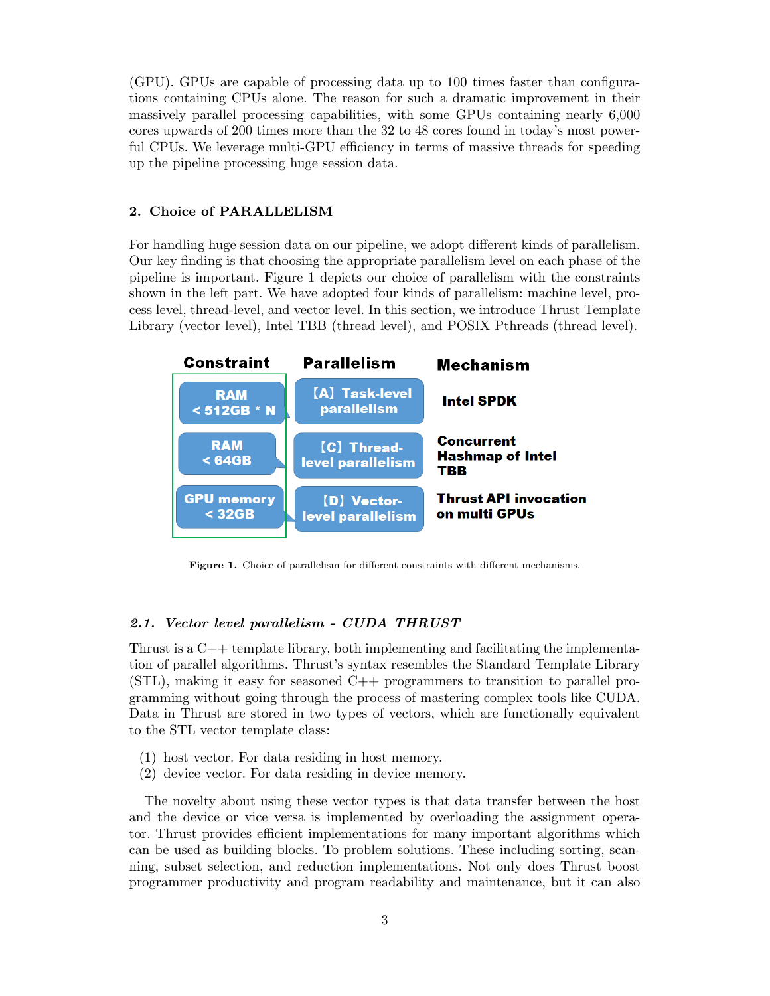(GPU). GPUs are capable of processing data up to 100 times faster than configurations containing CPUs alone. The reason for such a dramatic improvement in their massively parallel processing capabilities, with some GPUs containing nearly 6,000 cores upwards of 200 times more than the 32 to 48 cores found in today's most powerful CPUs. We leverage multi-GPU efficiency in terms of massive threads for speeding up the pipeline processing huge session data.

# 2. Choice of PARALLELISM

For handling huge session data on our pipeline, we adopt different kinds of parallelism. Our key finding is that choosing the appropriate parallelism level on each phase of the pipeline is important. Figure 1 depicts our choice of parallelism with the constraints shown in the left part. We have adopted four kinds of parallelism: machine level, process level, thread-level, and vector level. In this section, we introduce Thrust Template Library (vector level), Intel TBB (thread level), and POSIX Pthreads (thread level).



Figure 1. Choice of parallelism for different constraints with different mechanisms.

#### 2.1. Vector level parallelism - CUDA THRUST

Thrust is a C++ template library, both implementing and facilitating the implementation of parallel algorithms. Thrust's syntax resembles the Standard Template Library (STL), making it easy for seasoned C++ programmers to transition to parallel programming without going through the process of mastering complex tools like CUDA. Data in Thrust are stored in two types of vectors, which are functionally equivalent to the STL vector template class:

- (1) host vector. For data residing in host memory.
- (2) device vector. For data residing in device memory.

The novelty about using these vector types is that data transfer between the host and the device or vice versa is implemented by overloading the assignment operator. Thrust provides efficient implementations for many important algorithms which can be used as building blocks. To problem solutions. These including sorting, scanning, subset selection, and reduction implementations. Not only does Thrust boost programmer productivity and program readability and maintenance, but it can also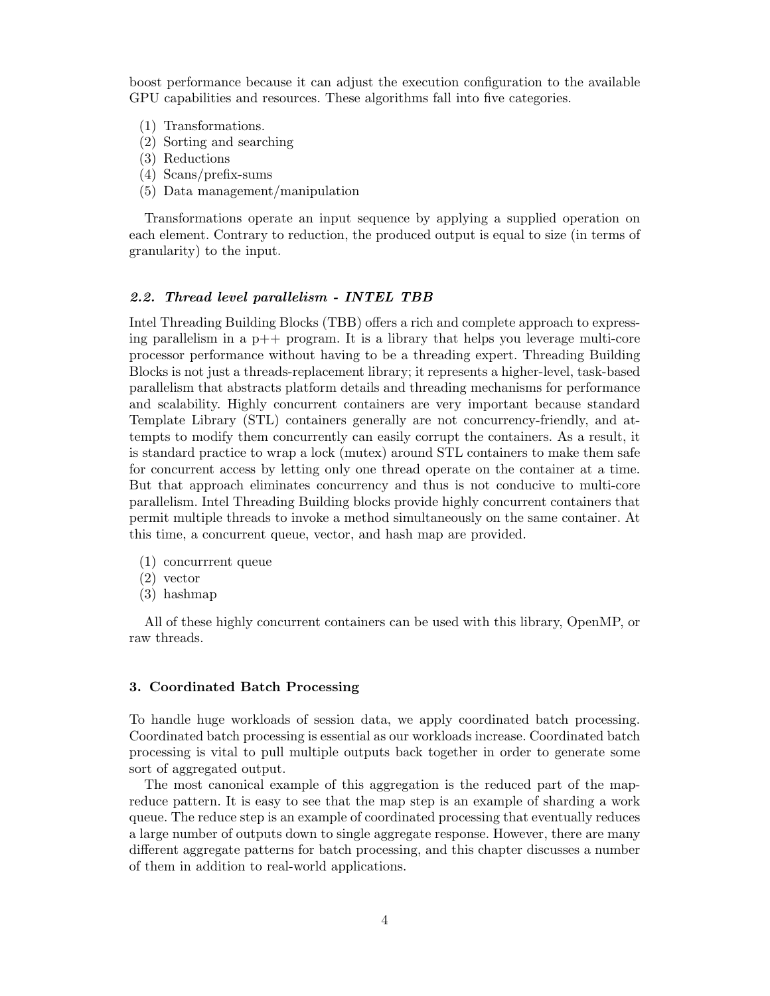boost performance because it can adjust the execution configuration to the available GPU capabilities and resources. These algorithms fall into five categories.

- (1) Transformations.
- (2) Sorting and searching
- (3) Reductions
- (4) Scans/prefix-sums
- (5) Data management/manipulation

Transformations operate an input sequence by applying a supplied operation on each element. Contrary to reduction, the produced output is equal to size (in terms of granularity) to the input.

#### 2.2. Thread level parallelism - INTEL TBB

Intel Threading Building Blocks (TBB) offers a rich and complete approach to expressing parallelism in a  $p++$  program. It is a library that helps you leverage multi-core processor performance without having to be a threading expert. Threading Building Blocks is not just a threads-replacement library; it represents a higher-level, task-based parallelism that abstracts platform details and threading mechanisms for performance and scalability. Highly concurrent containers are very important because standard Template Library (STL) containers generally are not concurrency-friendly, and attempts to modify them concurrently can easily corrupt the containers. As a result, it is standard practice to wrap a lock (mutex) around STL containers to make them safe for concurrent access by letting only one thread operate on the container at a time. But that approach eliminates concurrency and thus is not conducive to multi-core parallelism. Intel Threading Building blocks provide highly concurrent containers that permit multiple threads to invoke a method simultaneously on the same container. At this time, a concurrent queue, vector, and hash map are provided.

- (1) concurrrent queue
- (2) vector
- (3) hashmap

All of these highly concurrent containers can be used with this library, OpenMP, or raw threads.

### 3. Coordinated Batch Processing

To handle huge workloads of session data, we apply coordinated batch processing. Coordinated batch processing is essential as our workloads increase. Coordinated batch processing is vital to pull multiple outputs back together in order to generate some sort of aggregated output.

The most canonical example of this aggregation is the reduced part of the mapreduce pattern. It is easy to see that the map step is an example of sharding a work queue. The reduce step is an example of coordinated processing that eventually reduces a large number of outputs down to single aggregate response. However, there are many different aggregate patterns for batch processing, and this chapter discusses a number of them in addition to real-world applications.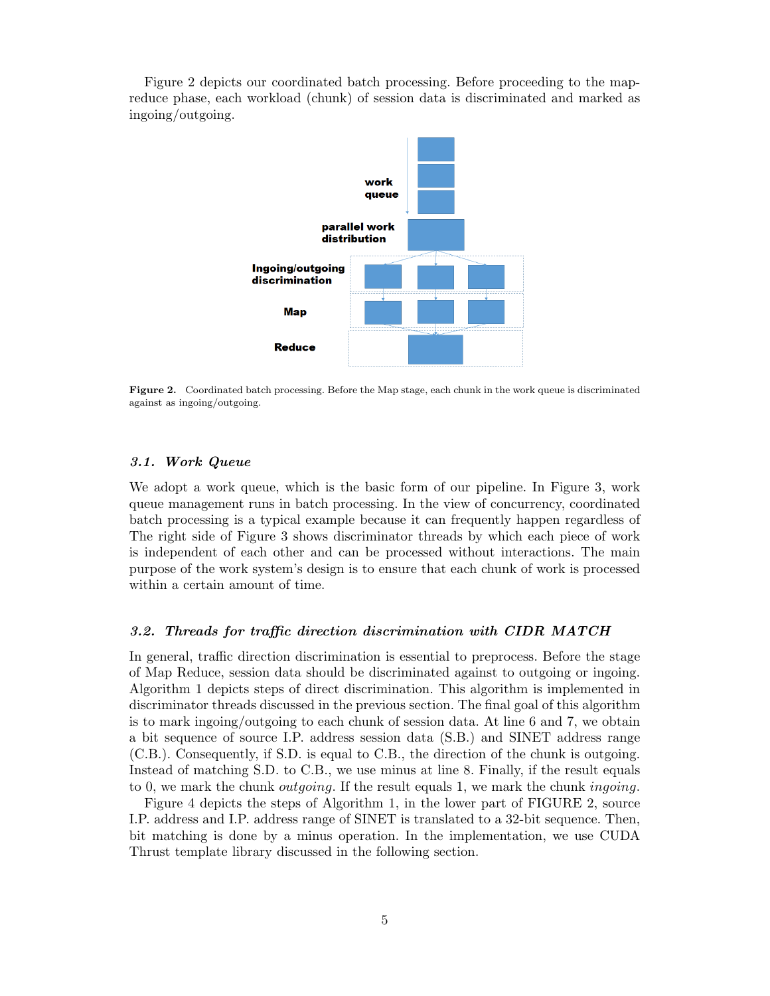Figure 2 depicts our coordinated batch processing. Before proceeding to the mapreduce phase, each workload (chunk) of session data is discriminated and marked as ingoing/outgoing.



Figure 2. Coordinated batch processing. Before the Map stage, each chunk in the work queue is discriminated against as ingoing/outgoing.

# 3.1. Work Queue

We adopt a work queue, which is the basic form of our pipeline. In Figure 3, work queue management runs in batch processing. In the view of concurrency, coordinated batch processing is a typical example because it can frequently happen regardless of The right side of Figure 3 shows discriminator threads by which each piece of work is independent of each other and can be processed without interactions. The main purpose of the work system's design is to ensure that each chunk of work is processed within a certain amount of time.

# 3.2. Threads for traffic direction discrimination with CIDR MATCH

In general, traffic direction discrimination is essential to preprocess. Before the stage of Map Reduce, session data should be discriminated against to outgoing or ingoing. Algorithm 1 depicts steps of direct discrimination. This algorithm is implemented in discriminator threads discussed in the previous section. The final goal of this algorithm is to mark ingoing/outgoing to each chunk of session data. At line 6 and 7, we obtain a bit sequence of source I.P. address session data (S.B.) and SINET address range (C.B.). Consequently, if S.D. is equal to C.B., the direction of the chunk is outgoing. Instead of matching S.D. to C.B., we use minus at line 8. Finally, if the result equals to 0, we mark the chunk outgoing. If the result equals 1, we mark the chunk ingoing.

Figure 4 depicts the steps of Algorithm 1, in the lower part of FIGURE 2, source I.P. address and I.P. address range of SINET is translated to a 32-bit sequence. Then, bit matching is done by a minus operation. In the implementation, we use CUDA Thrust template library discussed in the following section.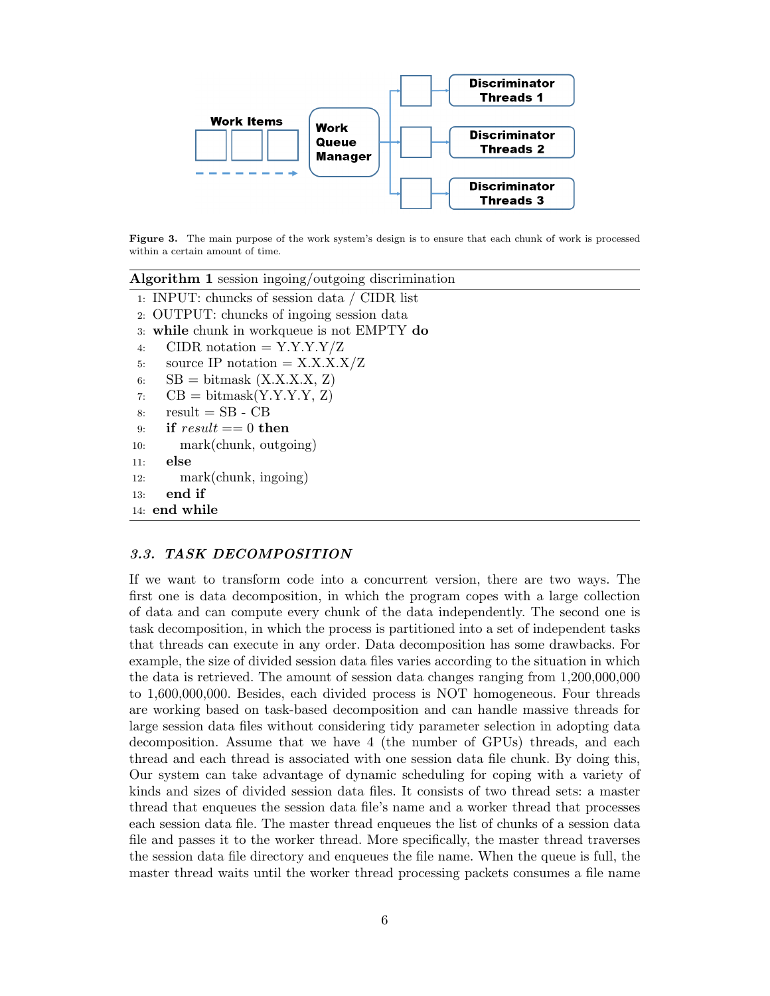

Figure 3. The main purpose of the work system's design is to ensure that each chunk of work is processed within a certain amount of time.

Algorithm 1 session ingoing/outgoing discrimination

- 1: INPUT: chuncks of session data / CIDR list
- 2: OUTPUT: chuncks of ingoing session data
- 3: while chunk in workqueue is not EMPTY do
- 4: CIDR notation =  $Y.Y.Y.Y/Z$
- 5: source IP notation  $=$  X.X.X.X/Z
- 6:  $SB = \text{bitmask}(X.X.X.X, Z)$
- 7:  $CB = \text{bitmask}(Y.Y.Y.Y,Z)$
- $8:$  result = SB CB
- 9: if  $result == 0$  then
- 10: mark(chunk, outgoing)
- 11: else

```
12: mark(chunk, ingoing)
```

```
13: end if
```

```
14: end while
```
# 3.3. TASK DECOMPOSITION

If we want to transform code into a concurrent version, there are two ways. The first one is data decomposition, in which the program copes with a large collection of data and can compute every chunk of the data independently. The second one is task decomposition, in which the process is partitioned into a set of independent tasks that threads can execute in any order. Data decomposition has some drawbacks. For example, the size of divided session data files varies according to the situation in which the data is retrieved. The amount of session data changes ranging from 1,200,000,000 to 1,600,000,000. Besides, each divided process is NOT homogeneous. Four threads are working based on task-based decomposition and can handle massive threads for large session data files without considering tidy parameter selection in adopting data decomposition. Assume that we have 4 (the number of GPUs) threads, and each thread and each thread is associated with one session data file chunk. By doing this, Our system can take advantage of dynamic scheduling for coping with a variety of kinds and sizes of divided session data files. It consists of two thread sets: a master thread that enqueues the session data file's name and a worker thread that processes each session data file. The master thread enqueues the list of chunks of a session data file and passes it to the worker thread. More specifically, the master thread traverses the session data file directory and enqueues the file name. When the queue is full, the master thread waits until the worker thread processing packets consumes a file name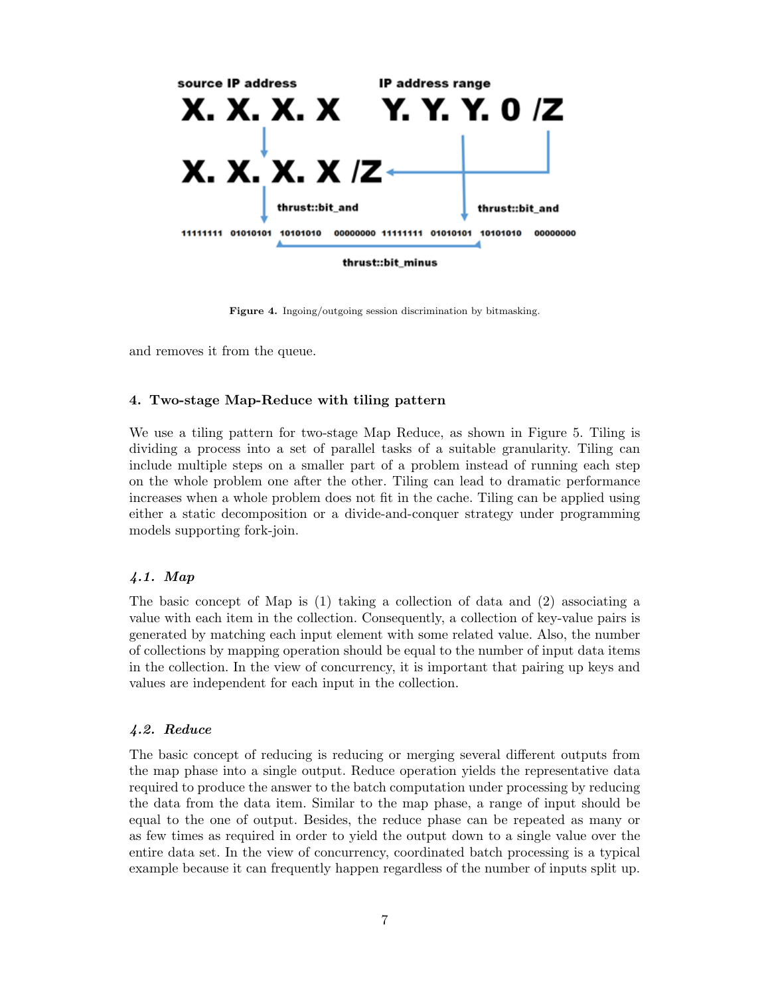

Figure 4. Ingoing/outgoing session discrimination by bitmasking.

and removes it from the queue.

### 4. Two-stage Map-Reduce with tiling pattern

We use a tiling pattern for two-stage Map Reduce, as shown in Figure 5. Tiling is dividing a process into a set of parallel tasks of a suitable granularity. Tiling can include multiple steps on a smaller part of a problem instead of running each step on the whole problem one after the other. Tiling can lead to dramatic performance increases when a whole problem does not fit in the cache. Tiling can be applied using either a static decomposition or a divide-and-conquer strategy under programming models supporting fork-join.

### 4.1. Map

The basic concept of Map is (1) taking a collection of data and (2) associating a value with each item in the collection. Consequently, a collection of key-value pairs is generated by matching each input element with some related value. Also, the number of collections by mapping operation should be equal to the number of input data items in the collection. In the view of concurrency, it is important that pairing up keys and values are independent for each input in the collection.

### 4.2. Reduce

The basic concept of reducing is reducing or merging several different outputs from the map phase into a single output. Reduce operation yields the representative data required to produce the answer to the batch computation under processing by reducing the data from the data item. Similar to the map phase, a range of input should be equal to the one of output. Besides, the reduce phase can be repeated as many or as few times as required in order to yield the output down to a single value over the entire data set. In the view of concurrency, coordinated batch processing is a typical example because it can frequently happen regardless of the number of inputs split up.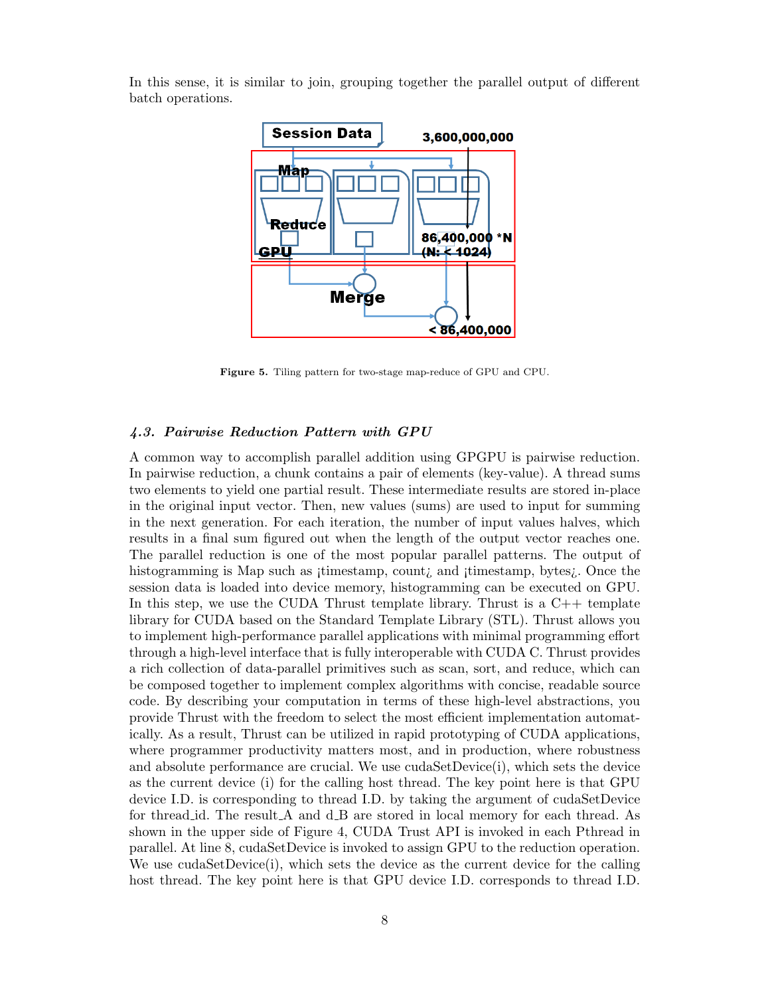In this sense, it is similar to join, grouping together the parallel output of different batch operations.



Figure 5. Tiling pattern for two-stage map-reduce of GPU and CPU.

# 4.3. Pairwise Reduction Pattern with GPU

A common way to accomplish parallel addition using GPGPU is pairwise reduction. In pairwise reduction, a chunk contains a pair of elements (key-value). A thread sums two elements to yield one partial result. These intermediate results are stored in-place in the original input vector. Then, new values (sums) are used to input for summing in the next generation. For each iteration, the number of input values halves, which results in a final sum figured out when the length of the output vector reaches one. The parallel reduction is one of the most popular parallel patterns. The output of histogramming is Map such as  $\mu$  itimestamp, count; and  $\mu$  itimestamp, bytes; Once the session data is loaded into device memory, histogramming can be executed on GPU. In this step, we use the CUDA Thrust template library. Thrust is a  $C_{++}$  template library for CUDA based on the Standard Template Library (STL). Thrust allows you to implement high-performance parallel applications with minimal programming effort through a high-level interface that is fully interoperable with CUDA C. Thrust provides a rich collection of data-parallel primitives such as scan, sort, and reduce, which can be composed together to implement complex algorithms with concise, readable source code. By describing your computation in terms of these high-level abstractions, you provide Thrust with the freedom to select the most efficient implementation automatically. As a result, Thrust can be utilized in rapid prototyping of CUDA applications, where programmer productivity matters most, and in production, where robustness and absolute performance are crucial. We use cudaSetDevice(i), which sets the device as the current device (i) for the calling host thread. The key point here is that GPU device I.D. is corresponding to thread I.D. by taking the argument of cudaSetDevice for thread id. The result A and d B are stored in local memory for each thread. As shown in the upper side of Figure 4, CUDA Trust API is invoked in each Pthread in parallel. At line 8, cudaSetDevice is invoked to assign GPU to the reduction operation. We use cudaSetDevice(i), which sets the device as the current device for the calling host thread. The key point here is that GPU device I.D. corresponds to thread I.D.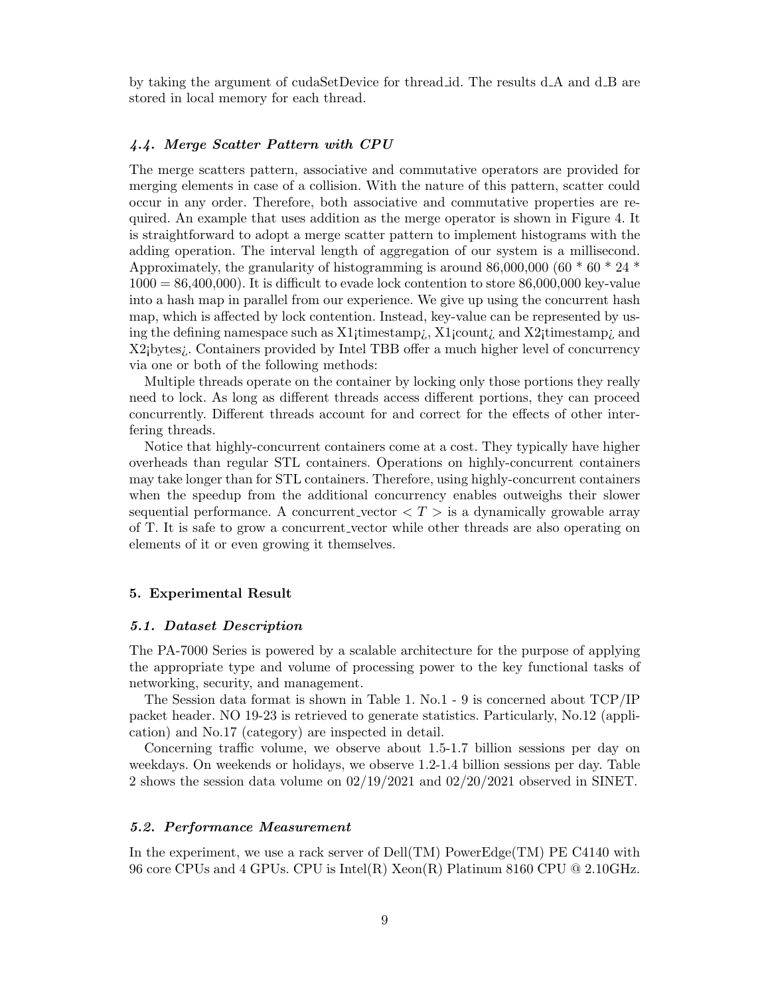by taking the argument of cudaSetDevice for thread id. The results d<sub>A</sub> and d<sub>B</sub> are stored in local memory for each thread.

# 4.4. Merge Scatter Pattern with CPU

The merge scatters pattern, associative and commutative operators are provided for merging elements in case of a collision. With the nature of this pattern, scatter could occur in any order. Therefore, both associative and commutative properties are required. An example that uses addition as the merge operator is shown in Figure 4. It is straightforward to adopt a merge scatter pattern to implement histograms with the adding operation. The interval length of aggregation of our system is a millisecond. Approximately, the granularity of histogramming is around  $86,000,000$  (60  $*$  60  $*$  24  $*$  $1000 = 86,400,000$ . It is difficult to evade lock contention to store  $86,000,000$  key-value into a hash map in parallel from our experience. We give up using the concurrent hash map, which is affected by lock contention. Instead, key-value can be represented by using the defining namespace such as  $X1$ <sub>i</sub>timestamp<sub>i</sub>,  $X1$ <sub>i</sub>count<sub>i</sub> and  $X2$ <sub>i</sub>timestamp<sub>i</sub> and X2¡bytes¿. Containers provided by Intel TBB offer a much higher level of concurrency via one or both of the following methods:

Multiple threads operate on the container by locking only those portions they really need to lock. As long as different threads access different portions, they can proceed concurrently. Different threads account for and correct for the effects of other interfering threads.

Notice that highly-concurrent containers come at a cost. They typically have higher overheads than regular STL containers. Operations on highly-concurrent containers may take longer than for STL containers. Therefore, using highly-concurrent containers when the speedup from the additional concurrency enables outweighs their slower sequential performance. A concurrent vector  $\langle T \rangle$  is a dynamically growable array of T. It is safe to grow a concurrent vector while other threads are also operating on elements of it or even growing it themselves.

### 5. Experimental Result

#### 5.1. Dataset Description

The PA-7000 Series is powered by a scalable architecture for the purpose of applying the appropriate type and volume of processing power to the key functional tasks of networking, security, and management.

The Session data format is shown in Table 1. No.1 - 9 is concerned about TCP/IP packet header. NO 19-23 is retrieved to generate statistics. Particularly, No.12 (application) and No.17 (category) are inspected in detail.

Concerning traffic volume, we observe about 1.5-1.7 billion sessions per day on weekdays. On weekends or holidays, we observe 1.2-1.4 billion sessions per day. Table 2 shows the session data volume on  $02/19/2021$  and  $02/20/2021$  observed in SINET.

#### 5.2. Performance Measurement

In the experiment, we use a rack server of Dell(TM) PowerEdge(TM) PE C4140 with 96 core CPUs and 4 GPUs. CPU is Intel(R) Xeon(R) Platinum 8160 CPU @ 2.10GHz.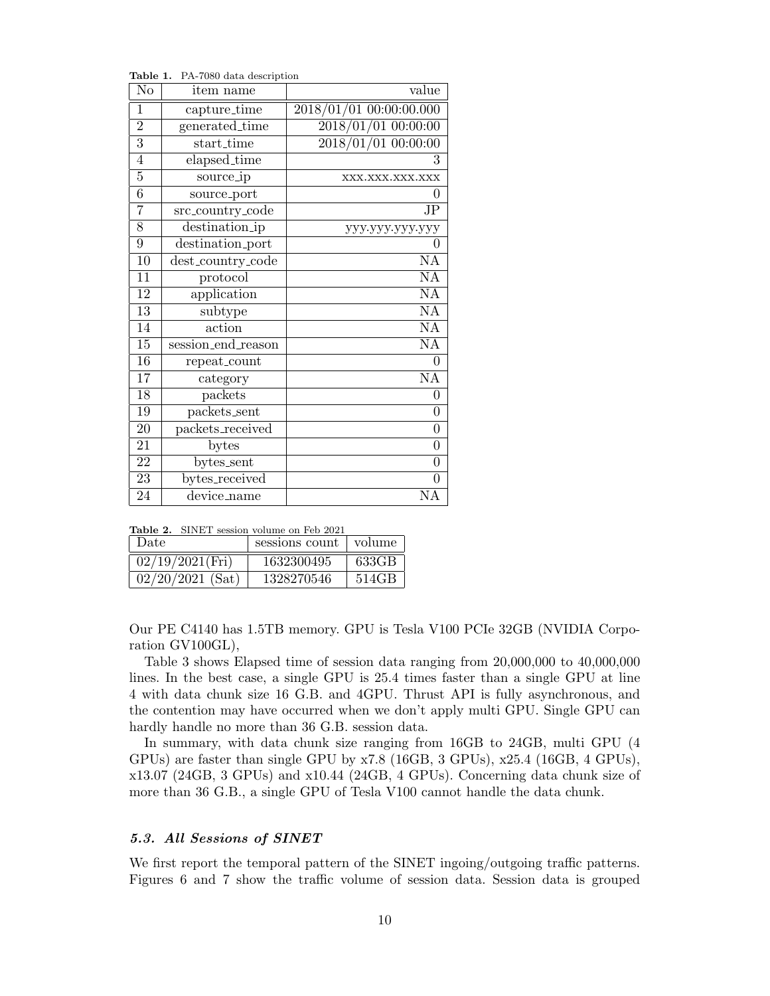Table 1. PA-7080 data description

| N <sub>o</sub>  | item name          | value                   |
|-----------------|--------------------|-------------------------|
| $\overline{1}$  | capture_time       | 2018/01/01 00:00:00.000 |
| $\overline{2}$  | generated_time     | 2018/01/01 00:00:00     |
| $\overline{3}$  | start_time         | 2018/01/01 00:00:00     |
| $\overline{4}$  | elapsed_time       | 3                       |
| $\overline{5}$  | source_ip          | XXX.XXX.XXX.XXX         |
| $\overline{6}$  | source_port        | 0                       |
| $\overline{7}$  | src_country_code   | $J\overline{P}$         |
| 8               | destination_ip     | yyy.yyy.yyy.yyy         |
| 9               | destination_port   | 0                       |
| $\overline{10}$ | dest_country_code  | $\overline{NA}$         |
| 11              | protocol           | NA                      |
| 12              | application        | NA                      |
| $\overline{13}$ | subtype            | $\overline{\text{NA}}$  |
| $\overline{14}$ | action             | $\overline{NA}$         |
| 15              | session_end_reason | NA                      |
| 16              | repeat_count       | $\overline{0}$          |
| 17              | category           | $\overline{\text{NA}}$  |
| 18              | packets            | 0                       |
| 19              | packets_sent       | $\overline{0}$          |
| 20              | packets_received   | 0                       |
| 21              | bytes              | 0                       |
| 22              | bytes_sent         | 0                       |
| $\overline{23}$ | bytes_received     | $\overline{0}$          |
| 24              | device_name        | NA                      |

Table 2. SINET session volume on Feb 2021

| Date               | sessions count | ∣ volume |
|--------------------|----------------|----------|
| $02/19/2021$ (Fri) | 1632300495     | 633GB    |
| $02/20/2021$ (Sat) | 1328270546     | 514GB    |

Our PE C4140 has 1.5TB memory. GPU is Tesla V100 PCIe 32GB (NVIDIA Corporation GV100GL),

Table 3 shows Elapsed time of session data ranging from 20,000,000 to 40,000,000 lines. In the best case, a single GPU is 25.4 times faster than a single GPU at line 4 with data chunk size 16 G.B. and 4GPU. Thrust API is fully asynchronous, and the contention may have occurred when we don't apply multi GPU. Single GPU can hardly handle no more than 36 G.B. session data.

In summary, with data chunk size ranging from 16GB to 24GB, multi GPU (4 GPUs) are faster than single GPU by x7.8 (16GB, 3 GPUs), x25.4 (16GB, 4 GPUs), x13.07 (24GB, 3 GPUs) and x10.44 (24GB, 4 GPUs). Concerning data chunk size of more than 36 G.B., a single GPU of Tesla V100 cannot handle the data chunk.

# 5.3. All Sessions of SINET

We first report the temporal pattern of the SINET ingoing/outgoing traffic patterns. Figures 6 and 7 show the traffic volume of session data. Session data is grouped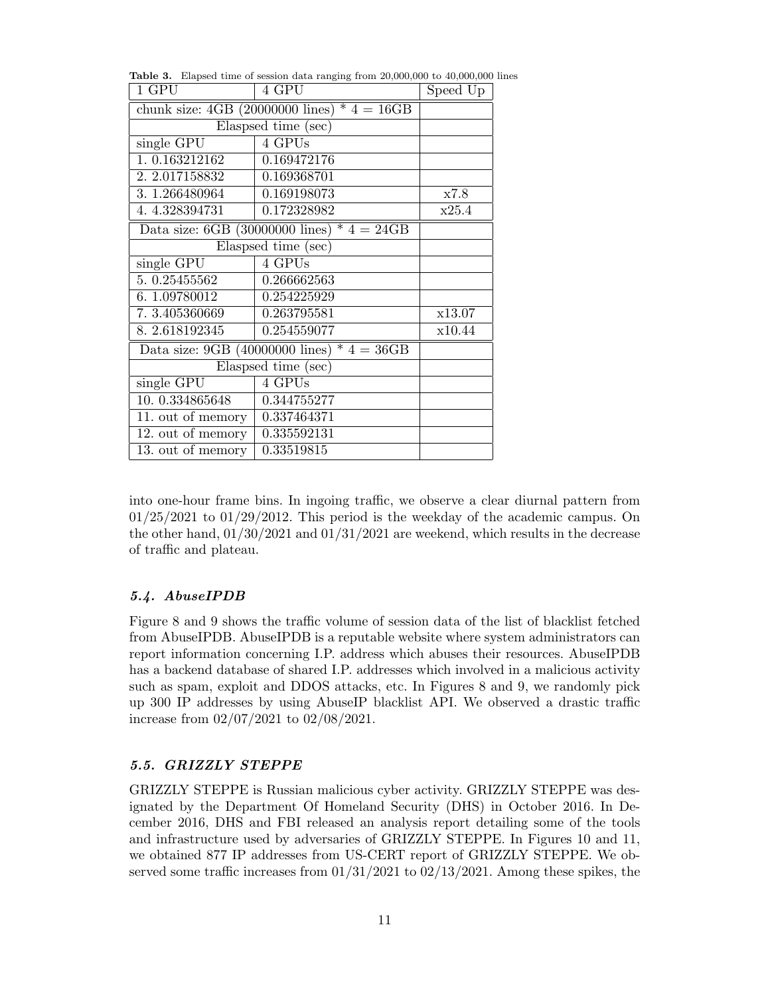| <b>Lable 0.</b> Elapsed three of session data ranging from 20,000,000 to 40,000,000 is |                     |          |  |  |
|----------------------------------------------------------------------------------------|---------------------|----------|--|--|
| 1 GPU                                                                                  | 4 GPU               | Speed Up |  |  |
| chunk size: 4GB (20000000 lines) $*$ 4 = 16GB                                          |                     |          |  |  |
| Elaspsed time (sec)                                                                    |                     |          |  |  |
| single GPU                                                                             | 4 GPUs              |          |  |  |
| 1.0.163212162                                                                          | 0.169472176         |          |  |  |
| 2. 2.017158832                                                                         | 0.169368701         |          |  |  |
| 3. 1.266480964                                                                         | 0.169198073         | x7.8     |  |  |
| 4.4.328394731                                                                          | 0.172328982         | x25.4    |  |  |
| Data size: 6GB (30000000 lines) $*$ 4 = 24GB                                           |                     |          |  |  |
| Elaspsed time (sec)                                                                    |                     |          |  |  |
| single GPU                                                                             | $\overline{4}$ GPUs |          |  |  |
| 5. 0.25455562                                                                          | 0.266662563         |          |  |  |
| 6.1.09780012                                                                           | 0.254225929         |          |  |  |
| 7. 3.405360669                                                                         | 0.263795581         | x13.07   |  |  |
| 8. 2.618192345                                                                         | 0.254559077         | x10.44   |  |  |
| Data size: 9GB (40000000 lines) $*$ 4 = 36GB                                           |                     |          |  |  |
| Elaspsed time (sec)                                                                    |                     |          |  |  |
| single GPU                                                                             | 4 GPUs              |          |  |  |
| 10. 0.334865648                                                                        | 0.344755277         |          |  |  |
| 11. out of memory $\vert 0.337464371$                                                  |                     |          |  |  |
| 12. out of memory                                                                      | 0.335592131         |          |  |  |
| 13. out of memory                                                                      | 0.33519815          |          |  |  |

Table 3. Elapsed time of session data ranging from 20,000,000 to 40,000,000 lines

into one-hour frame bins. In ingoing traffic, we observe a clear diurnal pattern from 01/25/2021 to 01/29/2012. This period is the weekday of the academic campus. On the other hand, 01/30/2021 and 01/31/2021 are weekend, which results in the decrease of traffic and plateau.

# 5.4. AbuseIPDB

Figure 8 and 9 shows the traffic volume of session data of the list of blacklist fetched from AbuseIPDB. AbuseIPDB is a reputable website where system administrators can report information concerning I.P. address which abuses their resources. AbuseIPDB has a backend database of shared I.P. addresses which involved in a malicious activity such as spam, exploit and DDOS attacks, etc. In Figures 8 and 9, we randomly pick up 300 IP addresses by using AbuseIP blacklist API. We observed a drastic traffic increase from 02/07/2021 to 02/08/2021.

# 5.5. GRIZZLY STEPPE

GRIZZLY STEPPE is Russian malicious cyber activity. GRIZZLY STEPPE was designated by the Department Of Homeland Security (DHS) in October 2016. In December 2016, DHS and FBI released an analysis report detailing some of the tools and infrastructure used by adversaries of GRIZZLY STEPPE. In Figures 10 and 11, we obtained 877 IP addresses from US-CERT report of GRIZZLY STEPPE. We observed some traffic increases from  $01/31/2021$  to  $02/13/2021$ . Among these spikes, the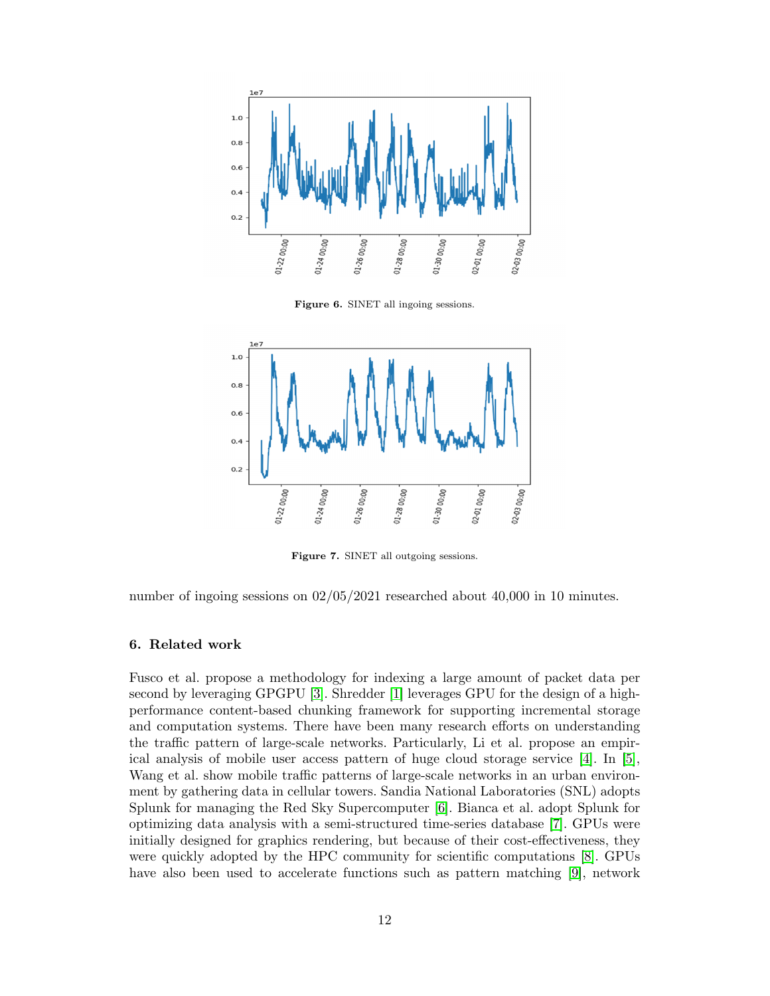

Figure 6. SINET all ingoing sessions.



Figure 7. SINET all outgoing sessions.

number of ingoing sessions on  $02/05/2021$  researched about 40,000 in 10 minutes.

# 6. Related work

Fusco et al. propose a methodology for indexing a large amount of packet data per second by leveraging GPGPU [\[3\]](#page-14-0). Shredder [\[1\]](#page-14-1) leverages GPU for the design of a highperformance content-based chunking framework for supporting incremental storage and computation systems. There have been many research efforts on understanding the traffic pattern of large-scale networks. Particularly, Li et al. propose an empirical analysis of mobile user access pattern of huge cloud storage service [\[4\]](#page-14-2). In [\[5\]](#page-14-3), Wang et al. show mobile traffic patterns of large-scale networks in an urban environment by gathering data in cellular towers. Sandia National Laboratories (SNL) adopts Splunk for managing the Red Sky Supercomputer [\[6\]](#page-14-4). Bianca et al. adopt Splunk for optimizing data analysis with a semi-structured time-series database [\[7\]](#page-14-5). GPUs were initially designed for graphics rendering, but because of their cost-effectiveness, they were quickly adopted by the HPC community for scientific computations [\[8\]](#page-14-6). GPUs have also been used to accelerate functions such as pattern matching [\[9\]](#page-14-7), network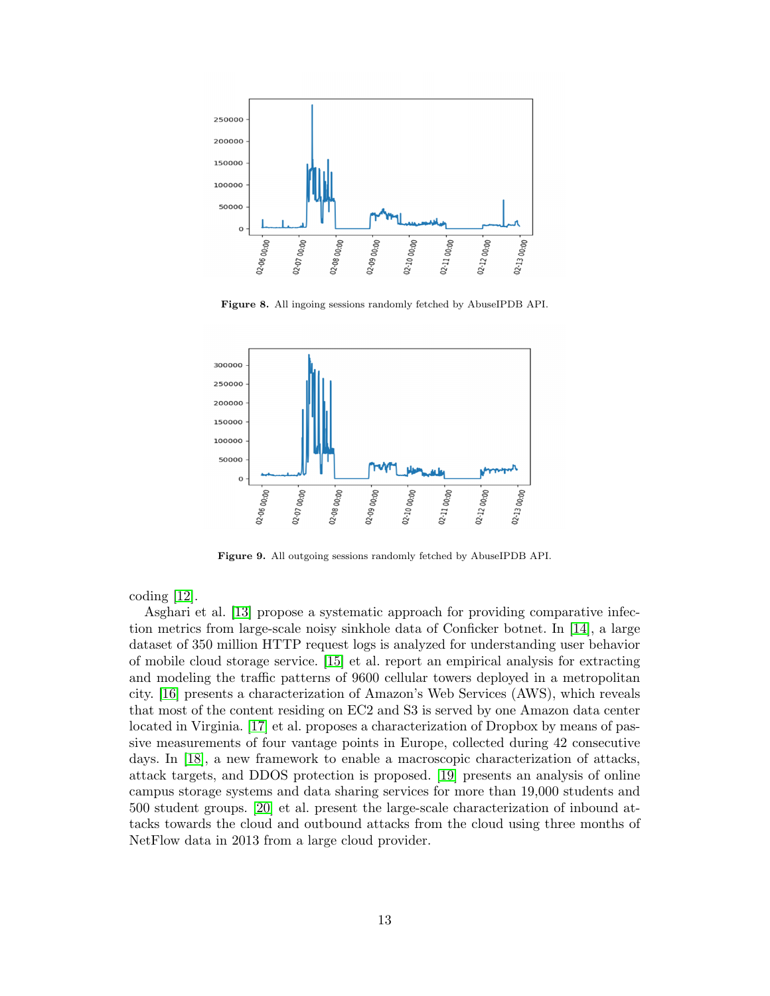

Figure 8. All ingoing sessions randomly fetched by AbuseIPDB API.



Figure 9. All outgoing sessions randomly fetched by AbuseIPDB API.

coding [\[12\]](#page-14-8).

Asghari et al. [\[13\]](#page-14-9) propose a systematic approach for providing comparative infection metrics from large-scale noisy sinkhole data of Conficker botnet. In [\[14\]](#page-14-10), a large dataset of 350 million HTTP request logs is analyzed for understanding user behavior of mobile cloud storage service. [\[15\]](#page-14-11) et al. report an empirical analysis for extracting and modeling the traffic patterns of 9600 cellular towers deployed in a metropolitan city. [\[16\]](#page-15-0) presents a characterization of Amazon's Web Services (AWS), which reveals that most of the content residing on EC2 and S3 is served by one Amazon data center located in Virginia. [\[17\]](#page-15-1) et al. proposes a characterization of Dropbox by means of passive measurements of four vantage points in Europe, collected during 42 consecutive days. In [\[18\]](#page-15-2), a new framework to enable a macroscopic characterization of attacks, attack targets, and DDOS protection is proposed. [\[19\]](#page-15-3) presents an analysis of online campus storage systems and data sharing services for more than 19,000 students and 500 student groups. [\[20\]](#page-15-4) et al. present the large-scale characterization of inbound attacks towards the cloud and outbound attacks from the cloud using three months of NetFlow data in 2013 from a large cloud provider.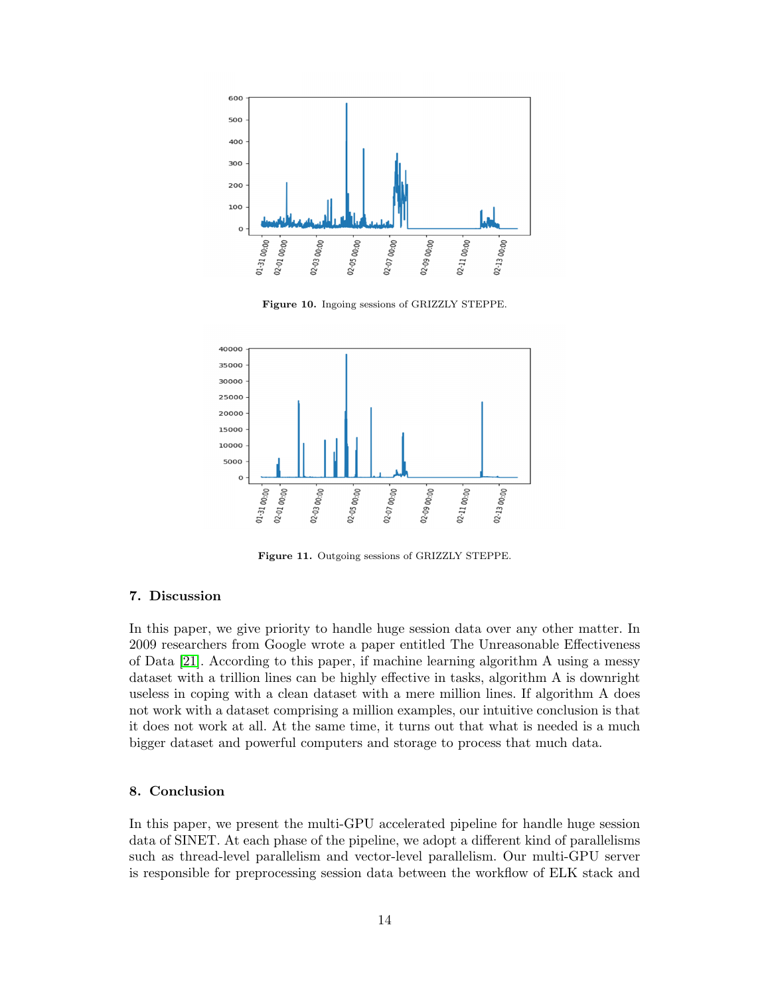

Figure 10. Ingoing sessions of GRIZZLY STEPPE.



Figure 11. Outgoing sessions of GRIZZLY STEPPE.

# 7. Discussion

In this paper, we give priority to handle huge session data over any other matter. In 2009 researchers from Google wrote a paper entitled The Unreasonable Effectiveness of Data [\[21\]](#page-15-5). According to this paper, if machine learning algorithm A using a messy dataset with a trillion lines can be highly effective in tasks, algorithm A is downright useless in coping with a clean dataset with a mere million lines. If algorithm A does not work with a dataset comprising a million examples, our intuitive conclusion is that it does not work at all. At the same time, it turns out that what is needed is a much bigger dataset and powerful computers and storage to process that much data.

# 8. Conclusion

In this paper, we present the multi-GPU accelerated pipeline for handle huge session data of SINET. At each phase of the pipeline, we adopt a different kind of parallelisms such as thread-level parallelism and vector-level parallelism. Our multi-GPU server is responsible for preprocessing session data between the workflow of ELK stack and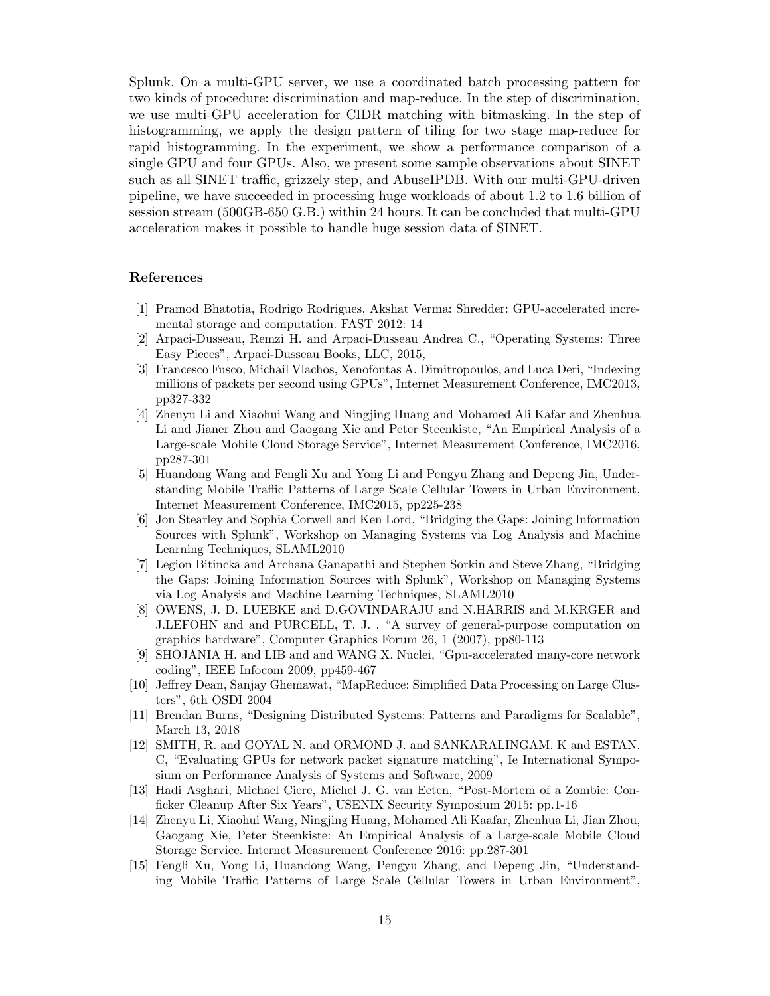Splunk. On a multi-GPU server, we use a coordinated batch processing pattern for two kinds of procedure: discrimination and map-reduce. In the step of discrimination, we use multi-GPU acceleration for CIDR matching with bitmasking. In the step of histogramming, we apply the design pattern of tiling for two stage map-reduce for rapid histogramming. In the experiment, we show a performance comparison of a single GPU and four GPUs. Also, we present some sample observations about SINET such as all SINET traffic, grizzely step, and AbuseIPDB. With our multi-GPU-driven pipeline, we have succeeded in processing huge workloads of about 1.2 to 1.6 billion of session stream (500GB-650 G.B.) within 24 hours. It can be concluded that multi-GPU acceleration makes it possible to handle huge session data of SINET.

### References

- <span id="page-14-1"></span>[1] Pramod Bhatotia, Rodrigo Rodrigues, Akshat Verma: Shredder: GPU-accelerated incremental storage and computation. FAST 2012: 14
- [2] Arpaci-Dusseau, Remzi H. and Arpaci-Dusseau Andrea C., "Operating Systems: Three Easy Pieces", Arpaci-Dusseau Books, LLC, 2015,
- <span id="page-14-0"></span>[3] Francesco Fusco, Michail Vlachos, Xenofontas A. Dimitropoulos, and Luca Deri, "Indexing millions of packets per second using GPUs", Internet Measurement Conference, IMC2013, pp327-332
- <span id="page-14-2"></span>[4] Zhenyu Li and Xiaohui Wang and Ningjing Huang and Mohamed Ali Kafar and Zhenhua Li and Jianer Zhou and Gaogang Xie and Peter Steenkiste, "An Empirical Analysis of a Large-scale Mobile Cloud Storage Service", Internet Measurement Conference, IMC2016, pp287-301
- <span id="page-14-3"></span>[5] Huandong Wang and Fengli Xu and Yong Li and Pengyu Zhang and Depeng Jin, Understanding Mobile Traffic Patterns of Large Scale Cellular Towers in Urban Environment, Internet Measurement Conference, IMC2015, pp225-238
- <span id="page-14-4"></span>[6] Jon Stearley and Sophia Corwell and Ken Lord, "Bridging the Gaps: Joining Information Sources with Splunk", Workshop on Managing Systems via Log Analysis and Machine Learning Techniques, SLAML2010
- <span id="page-14-5"></span>[7] Legion Bitincka and Archana Ganapathi and Stephen Sorkin and Steve Zhang, "Bridging the Gaps: Joining Information Sources with Splunk", Workshop on Managing Systems via Log Analysis and Machine Learning Techniques, SLAML2010
- <span id="page-14-6"></span>[8] OWENS, J. D. LUEBKE and D.GOVINDARAJU and N.HARRIS and M.KRGER and J.LEFOHN and and PURCELL, T. J. , "A survey of general-purpose computation on graphics hardware", Computer Graphics Forum 26, 1 (2007), pp80-113
- <span id="page-14-7"></span>[9] SHOJANIA H. and LIB and and WANG X. Nuclei, "Gpu-accelerated many-core network coding", IEEE Infocom 2009, pp459-467
- [10] Jeffrey Dean, Sanjay Ghemawat, "MapReduce: Simplified Data Processing on Large Clusters", 6th OSDI 2004
- [11] Brendan Burns, "Designing Distributed Systems: Patterns and Paradigms for Scalable", March 13, 2018
- <span id="page-14-8"></span>[12] SMITH, R. and GOYAL N. and ORMOND J. and SANKARALINGAM. K and ESTAN. C, "Evaluating GPUs for network packet signature matching", Ie International Symposium on Performance Analysis of Systems and Software, 2009
- <span id="page-14-9"></span>[13] Hadi Asghari, Michael Ciere, Michel J. G. van Eeten, "Post-Mortem of a Zombie: Conficker Cleanup After Six Years", USENIX Security Symposium 2015: pp.1-16
- <span id="page-14-10"></span>[14] Zhenyu Li, Xiaohui Wang, Ningjing Huang, Mohamed Ali Kaafar, Zhenhua Li, Jian Zhou, Gaogang Xie, Peter Steenkiste: An Empirical Analysis of a Large-scale Mobile Cloud Storage Service. Internet Measurement Conference 2016: pp.287-301
- <span id="page-14-11"></span>[15] Fengli Xu, Yong Li, Huandong Wang, Pengyu Zhang, and Depeng Jin, "Understanding Mobile Traffic Patterns of Large Scale Cellular Towers in Urban Environment",